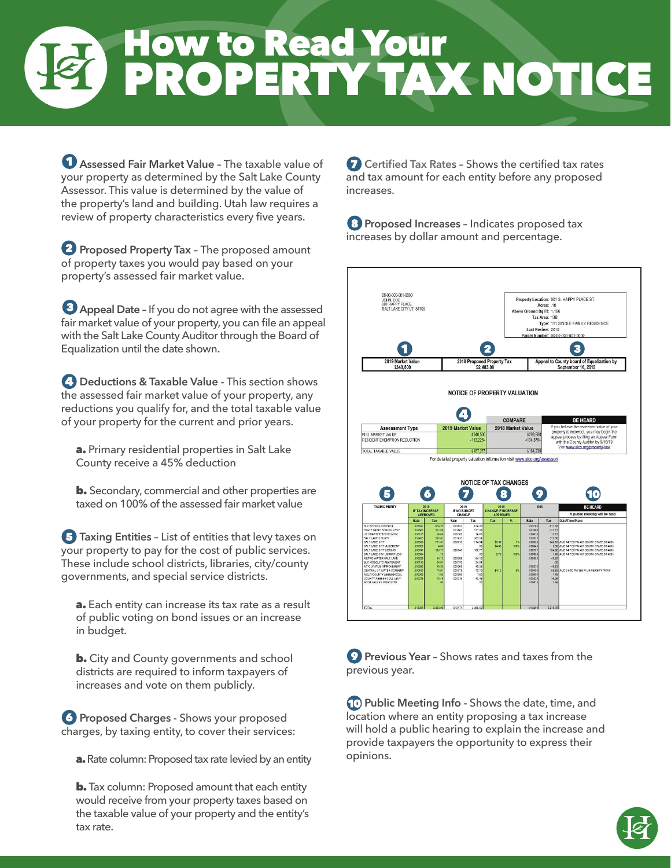# How to Read Your PROPERTY TAX NOTICE

 **Assessed Fair Market Value –** The taxable value of your property as determined by the Salt Lake County Assessor. This value is determined by the value of the property's land and building. Utah law requires a review of property characteristics every five years.

**P** Proposed Property Tax - The proposed amount of property taxes you would pay based on your property's assessed fair market value.

 **Appeal Date –** If you do not agree with the assessed fair market value of your property, you can file an appeal with the Salt Lake County Auditor through the Board of Equalization until the date shown.

**4 Deductions & Taxable Value - This section shows** the assessed fair market value of your property, any reductions you qualify for, and the total taxable value of your property for the current and prior years.

a. Primary residential properties in Salt Lake County receive a 45% deduction

**b.** Secondary, commercial and other properties are taxed on 100% of the assessed fair market value

**F** Taxing Entities - List of entities that levy taxes on your property to pay for the cost of public services. These include school districts, libraries, city/county governments, and special service districts.

a. Each entity can increase its tax rate as a result of public voting on bond issues or an increase in budget.

**b.** City and County governments and school districts are required to inform taxpayers of increases and vote on them publicly.

*Proposed Charges - Shows your proposed* charges, by taxing entity, to cover their services:

a. Rate column: Proposed tax rate levied by an entity

**b.** Tax column: Proposed amount that each entity would receive from your property taxes based on the taxable value of your property and the entity's tax rate.

**C** Certified Tax Rates - Shows the certified tax rates and tax amount for each entity before any proposed increases.

**8** Proposed Increases - Indicates proposed tax increases by dollar amount and percentage.



**P** Previous Year - Shows rates and taxes from the previous year.

**Public Meeting Info - Shows the date, time, and** location where an entity proposing a tax increase will hold a public hearing to explain the increase and provide taxpayers the opportunity to express their opinions.